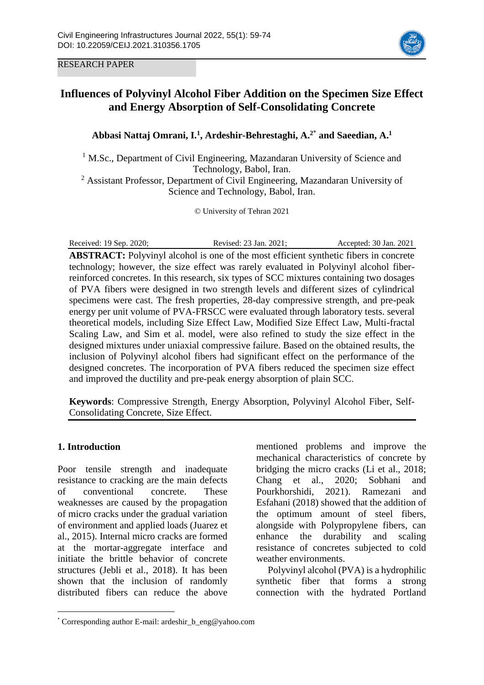RESEARCH PAPER



# **Influences of Polyvinyl Alcohol Fiber Addition on the Specimen Size Effect and Energy Absorption of Self-Consolidating Concrete**

# **Abbasi Nattaj Omrani, I. 1 , Ardeshir-Behrestaghi, A. 2**\* **and Saeedian, A.<sup>1</sup>**

<sup>1</sup> M.Sc., Department of Civil Engineering, Mazandaran University of Science and Technology, Babol, Iran.

<sup>2</sup> Assistant Professor, Department of Civil Engineering, Mazandaran University of Science and Technology, Babol, Iran.

© University of Tehran 2021

Received: 19 Sep. 2020; Revised: 23 Jan. 2021; Accepted: 30 Jan. 2021 **ABSTRACT:** Polyvinyl alcohol is one of the most efficient synthetic fibers in concrete technology; however, the size effect was rarely evaluated in Polyvinyl alcohol fiberreinforced concretes. In this research, six types of SCC mixtures containing two dosages of PVA fibers were designed in two strength levels and different sizes of cylindrical specimens were cast. The fresh properties, 28-day compressive strength, and pre-peak energy per unit volume of PVA-FRSCC were evaluated through laboratory tests. several theoretical models, including Size Effect Law, Modified Size Effect Law, Multi-fractal Scaling Law, and Sim et al. model, were also refined to study the size effect in the designed mixtures under uniaxial compressive failure. Based on the obtained results, the inclusion of Polyvinyl alcohol fibers had significant effect on the performance of the designed concretes. The incorporation of PVA fibers reduced the specimen size effect and improved the ductility and pre-peak energy absorption of plain SCC.

**Keywords**: Compressive Strength, Energy Absorption, Polyvinyl Alcohol Fiber, Self-Consolidating Concrete, Size Effect.

# **1. Introduction**

 $\overline{a}$ 

Poor tensile strength and inadequate resistance to cracking are the main defects of conventional concrete. These weaknesses are caused by the propagation of micro cracks under the gradual variation of environment and applied loads (Juarez et al., 2015). Internal micro cracks are formed at the mortar-aggregate interface and initiate the brittle behavior of concrete structures (Jebli et al., 2018). It has been shown that the inclusion of randomly distributed fibers can reduce the above mentioned problems and improve the mechanical characteristics of concrete by bridging the micro cracks (Li et al., 2018; Chang et al., 2020; Sobhani and Pourkhorshidi, 2021). Ramezani and Esfahani (2018) showed that the addition of the optimum amount of steel fibers, alongside with Polypropylene fibers, can enhance the durability and scaling resistance of concretes subjected to cold weather environments.

Polyvinyl alcohol (PVA) is a hydrophilic synthetic fiber that forms a strong connection with the hydrated Portland

<sup>\*</sup> Corresponding author E-mail: ardeshir\_b\_eng@yahoo.com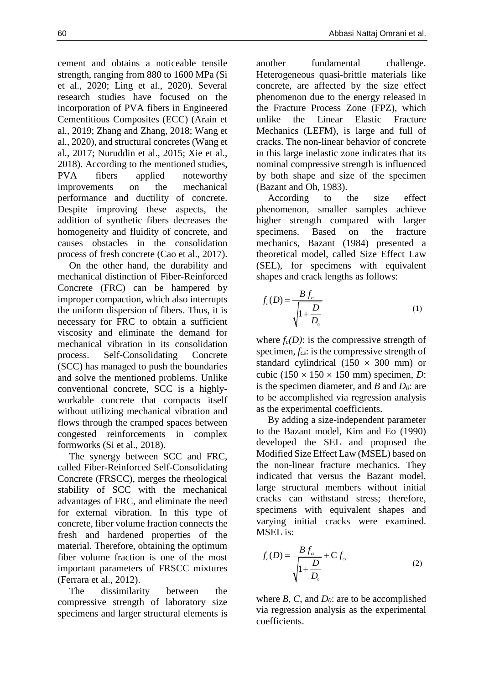strength, ranging from 880 to 1600 MPa (Si et al., 2020; Ling et al., 2020). Several research studies have focused on the incorporation of PVA fibers in Engineered Cementitious Composites (ECC) (Arain et al., 2019; Zhang and Zhang, 2018; Wang et al., 2020), and structural concretes (Wang et al., 2017; Nuruddin et al., 2015; Xie et al., 2018). According to the mentioned studies, PVA fibers applied noteworthy improvements on the mechanical performance and ductility of concrete. Despite improving these aspects, the addition of synthetic fibers decreases the homogeneity and fluidity of concrete, and

process of fresh concrete (Cao et al., 2017). On the other hand, the durability and mechanical distinction of Fiber-Reinforced Concrete (FRC) can be hampered by improper compaction, which also interrupts the uniform dispersion of fibers. Thus, it is necessary for FRC to obtain a sufficient viscosity and eliminate the demand for mechanical vibration in its consolidation process. Self-Consolidating Concrete (SCC) has managed to push the boundaries and solve the mentioned problems. Unlike conventional concrete, SCC is a highlyworkable concrete that compacts itself without utilizing mechanical vibration and flows through the cramped spaces between congested reinforcements in complex formworks (Si et al., 2018).

causes obstacles in the consolidation

The synergy between SCC and FRC, called Fiber-Reinforced Self-Consolidating Concrete (FRSCC), merges the rheological stability of SCC with the mechanical advantages of FRC, and eliminate the need for external vibration. In this type of concrete, fiber volume fraction connects the fresh and hardened properties of the material. Therefore, obtaining the optimum fiber volume fraction is one of the most important parameters of FRSCC mixtures (Ferrara et al., 2012).

The dissimilarity between the compressive strength of laboratory size specimens and larger structural elements is another fundamental challenge. Heterogeneous quasi-brittle materials like concrete, are affected by the size effect phenomenon due to the energy released in the Fracture Process Zone (FPZ), which unlike the Linear Elastic Fracture Mechanics (LEFM), is large and full of cracks. The non-linear behavior of concrete in this large inelastic zone indicates that its nominal compressive strength is influenced by both shape and size of the specimen (Bazant and Oh, 1983).

According to the size effect phenomenon, smaller samples achieve higher strength compared with larger specimens. Based on the fracture mechanics, Bazant (1984) presented a theoretical model, called Size Effect Law (SEL), for specimens with equivalent shapes and crack lengths as follows:

$$
f_c(D) = \frac{B f_{cs}}{\sqrt{1 + \frac{D}{D_o}}}
$$
 (1)

where  $f_c(D)$ : is the compressive strength of specimen, *fcs*: is the compressive strength of standard cylindrical  $(150 \times 300 \text{ mm})$  or cubic (150 × 150 × 150 mm) specimen, *D*: is the specimen diameter, and *B* and *D0*: are to be accomplished via regression analysis as the experimental coefficients.

By adding a size-independent parameter to the Bazant model, Kim and Eo (1990) developed the SEL and proposed the Modified Size Effect Law (MSEL) based on the non-linear fracture mechanics. They indicated that versus the Bazant model, large structural members without initial cracks can withstand stress; therefore, specimens with equivalent shapes and varying initial cracks were examined. MSEL is:

$$
f_c(D) = \frac{B f_{cs}}{\sqrt{1 + \frac{D}{D_o}}} + C f_{cs}
$$
\n(2)

where *B*, *C*, and *D0*: are to be accomplished via regression analysis as the experimental coefficients.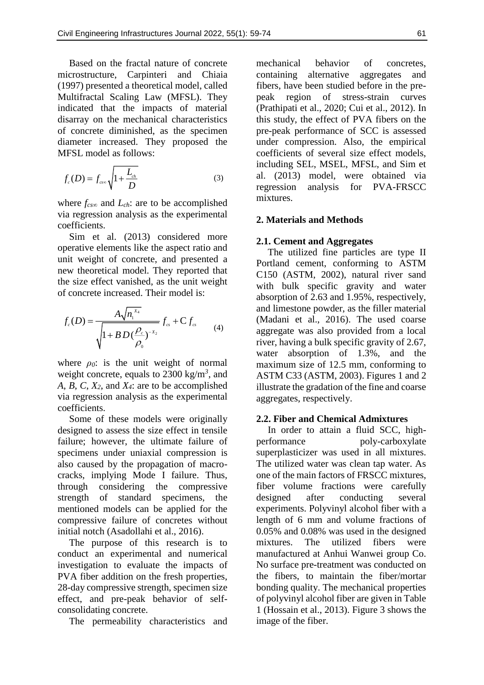Based on the fractal nature of concrete microstructure, Carpinteri and Chiaia (1997) presented a theoretical model, called Multifractal Scaling Law (MFSL). They indicated that the impacts of material disarray on the mechanical characteristics of concrete diminished, as the specimen diameter increased. They proposed the MFSL model as follows:

$$
f_c(D) = f_{\text{csc}} \sqrt{1 + \frac{L_{\text{ch}}}{D}}
$$
 (3)

where *fcs∞* and *Lch*: are to be accomplished via regression analysis as the experimental coefficients.

Sim et al. (2013) considered more operative elements like the aspect ratio and unit weight of concrete, and presented a new theoretical model. They reported that the size effect vanished, as the unit weight of concrete increased. Their model is:

$$
f_c(D) = \frac{A\sqrt{n_1^{x_4}}}{\sqrt{1 + BD(\frac{\rho_c}{\rho_0})^{-x_2}}} f_{cs} + C f_{cs}
$$
 (4)

where *ρ0*: is the unit weight of normal weight concrete, equals to 2300 kg/m*<sup>3</sup>* , and *A*, *B*, *C*, *X2*, and *X4*: are to be accomplished via regression analysis as the experimental coefficients.

Some of these models were originally designed to assess the size effect in tensile failure; however, the ultimate failure of specimens under uniaxial compression is also caused by the propagation of macrocracks, implying Mode I failure. Thus, through considering the compressive strength of standard specimens, the mentioned models can be applied for the compressive failure of concretes without initial notch (Asadollahi et al., 2016).

The purpose of this research is to conduct an experimental and numerical investigation to evaluate the impacts of PVA fiber addition on the fresh properties, 28-day compressive strength, specimen size effect, and pre-peak behavior of selfconsolidating concrete.

The permeability characteristics and

mechanical behavior of concretes, containing alternative aggregates and fibers, have been studied before in the prepeak region of stress-strain curves (Prathipati et al., 2020; Cui et al., 2012). In this study, the effect of PVA fibers on the pre-peak performance of SCC is assessed under compression. Also, the empirical coefficients of several size effect models, including SEL, MSEL, MFSL, and Sim et al. (2013) model, were obtained via regression analysis for PVA-FRSCC mixtures.

# **2. Materials and Methods**

#### **2.1. Cement and Aggregates**

The utilized fine particles are type II Portland cement, conforming to ASTM C150 (ASTM, 2002), natural river sand with bulk specific gravity and water absorption of 2.63 and 1.95%, respectively, and limestone powder, as the filler material (Madani et al., 2016). The used coarse aggregate was also provided from a local river, having a bulk specific gravity of 2.67, water absorption of 1.3%, and the maximum size of 12.5 mm, conforming to ASTM C33 (ASTM, 2003). Figures 1 and 2 illustrate the gradation of the fine and coarse aggregates, respectively.

### **2.2. Fiber and Chemical Admixtures**

In order to attain a fluid SCC, highperformance poly-carboxylate superplasticizer was used in all mixtures. The utilized water was clean tap water. As one of the main factors of FRSCC mixtures, fiber volume fractions were carefully designed after conducting several experiments. Polyvinyl alcohol fiber with a length of 6 mm and volume fractions of 0.05% and 0.08% was used in the designed mixtures. The utilized fibers were manufactured at Anhui Wanwei group Co. No surface pre-treatment was conducted on the fibers, to maintain the fiber/mortar bonding quality. The mechanical properties of polyvinyl alcohol fiber are given in Table 1 (Hossain et al., 2013). Figure 3 shows the image of the fiber.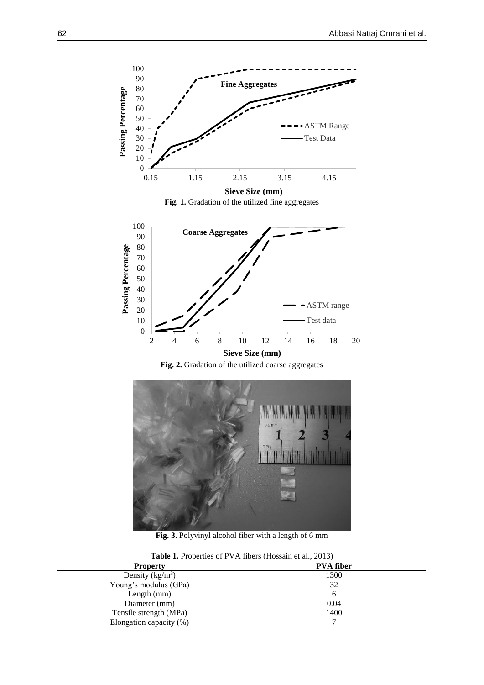

Fig. 1. Gradation of the utilized fine aggregates







**Fig. 3.** Polyvinyl alcohol fiber with a length of 6 mm

| <b>Table 1.</b> Properties of PVA fibers (Hossain et al., 2013) |                  |  |  |  |
|-----------------------------------------------------------------|------------------|--|--|--|
| <b>Property</b>                                                 | <b>PVA</b> fiber |  |  |  |
| Density $(kg/m^3)$                                              | 1300             |  |  |  |
| Young's modulus (GPa)                                           | 32               |  |  |  |
| Length $(mm)$                                                   | b                |  |  |  |
| Diameter (mm)                                                   | 0.04             |  |  |  |
| Tensile strength (MPa)                                          | 1400             |  |  |  |
| Elongation capacity (%)                                         |                  |  |  |  |

**Table 1.** Properties of PVA fibers (Hossain et al., 2013)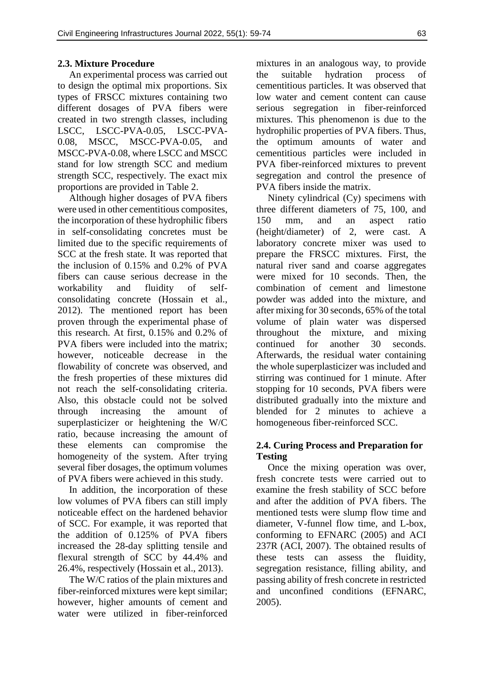# **2.3. Mixture Procedure**

An experimental process was carried out to design the optimal mix proportions. Six types of FRSCC mixtures containing two different dosages of PVA fibers were created in two strength classes, including LSCC, LSCC-PVA-0.05, LSCC-PVA-0.08, MSCC, MSCC-PVA-0.05, and MSCC-PVA-0.08, where LSCC and MSCC stand for low strength SCC and medium strength SCC, respectively. The exact mix proportions are provided in Table 2.

Although higher dosages of PVA fibers were used in other cementitious composites, the incorporation of these hydrophilic fibers in self-consolidating concretes must be limited due to the specific requirements of SCC at the fresh state. It was reported that the inclusion of 0.15% and 0.2% of PVA fibers can cause serious decrease in the workability and fluidity of selfconsolidating concrete (Hossain et al., 2012). The mentioned report has been proven through the experimental phase of this research. At first, 0.15% and 0.2% of PVA fibers were included into the matrix; however, noticeable decrease in the flowability of concrete was observed, and the fresh properties of these mixtures did not reach the self-consolidating criteria. Also, this obstacle could not be solved through increasing the amount of superplasticizer or heightening the W/C ratio, because increasing the amount of these elements can compromise the homogeneity of the system. After trying several fiber dosages, the optimum volumes of PVA fibers were achieved in this study.

In addition, the incorporation of these low volumes of PVA fibers can still imply noticeable effect on the hardened behavior of SCC. For example, it was reported that the addition of 0.125% of PVA fibers increased the 28-day splitting tensile and flexural strength of SCC by 44.4% and 26.4%, respectively (Hossain et al., 2013).

The W/C ratios of the plain mixtures and fiber-reinforced mixtures were kept similar; however, higher amounts of cement and water were utilized in fiber-reinforced mixtures in an analogous way, to provide the suitable hydration process of cementitious particles. It was observed that low water and cement content can cause serious segregation in fiber-reinforced mixtures. This phenomenon is due to the hydrophilic properties of PVA fibers. Thus, the optimum amounts of water and cementitious particles were included in PVA fiber-reinforced mixtures to prevent segregation and control the presence of PVA fibers inside the matrix.

Ninety cylindrical (Cy) specimens with three different diameters of 75, 100, and 150 mm, and an aspect ratio (height/diameter) of 2, were cast. A laboratory concrete mixer was used to prepare the FRSCC mixtures. First, the natural river sand and coarse aggregates were mixed for 10 seconds. Then, the combination of cement and limestone powder was added into the mixture, and after mixing for 30 seconds, 65% of the total volume of plain water was dispersed throughout the mixture, and mixing continued for another 30 seconds. Afterwards, the residual water containing the whole superplasticizer was included and stirring was continued for 1 minute. After stopping for 10 seconds, PVA fibers were distributed gradually into the mixture and blended for 2 minutes to achieve a homogeneous fiber-reinforced SCC.

# **2.4. Curing Process and Preparation for Testing**

Once the mixing operation was over, fresh concrete tests were carried out to examine the fresh stability of SCC before and after the addition of PVA fibers. The mentioned tests were slump flow time and diameter, V-funnel flow time, and L-box, conforming to EFNARC (2005) and ACI 237R (ACI, 2007). The obtained results of these tests can assess the fluidity, segregation resistance, filling ability, and passing ability of fresh concrete in restricted and unconfined conditions (EFNARC, 2005).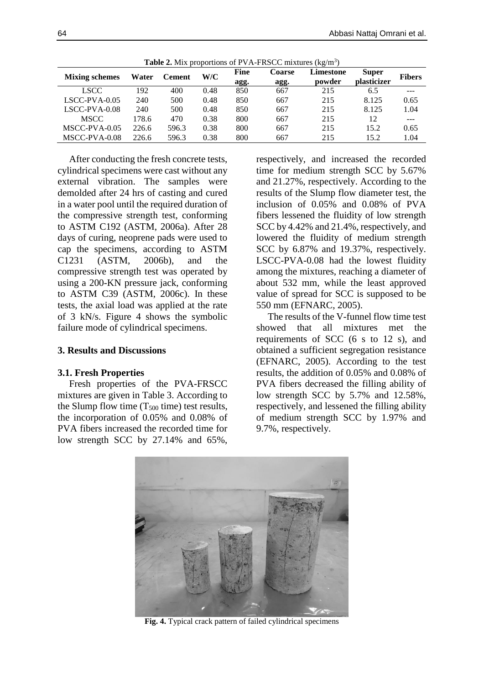| <b>THERE</b> IS THIS PLOPOLITORS OF FAIL FIND COMMUNICS (Kg/ III) |       |       |                      |      |               |                           |              |               |
|-------------------------------------------------------------------|-------|-------|----------------------|------|---------------|---------------------------|--------------|---------------|
|                                                                   |       |       | W/C<br><b>Cement</b> | Fine | <b>Coarse</b> | Limestone                 | <b>Super</b> | <b>Fibers</b> |
| Water<br><b>Mixing schemes</b>                                    |       | agg.  |                      | agg. | powder        | <i><b>plasticizer</b></i> |              |               |
| <b>LSCC</b>                                                       | 92    | 400   | 0.48                 | 850  | 667           | 215                       | 6.5          | ---           |
| LSCC-PVA-0.05                                                     | 240   | 500   | 0.48                 | 850  | 667           | 215                       | 8.125        | 0.65          |
| $LSCC-PVA-0.08$                                                   | 240   | 500   | 0.48                 | 850  | 667           | 215                       | 8.125        | 1.04          |
| <b>MSCC</b>                                                       | 178.6 | 470   | 0.38                 | 800  | 667           | 215                       | 12           | $- - -$       |
| MSCC-PVA-0.05                                                     | 226.6 | 596.3 | 0.38                 | 800  | 667           | 215                       | 15.2         | 0.65          |
| MSCC-PVA-0.08                                                     | 226.6 | 596.3 | 0.38                 | 800  | 667           | 215                       | 15.2         | 1.04          |

Table 2. Mix proportions of PVA-FRSCC mixtures (kg/m<sup>3</sup>)

After conducting the fresh concrete tests, cylindrical specimens were cast without any external vibration. The samples were demolded after 24 hrs of casting and cured in a water pool until the required duration of the compressive strength test, conforming to ASTM C192 (ASTM, 2006a). After 28 days of curing, neoprene pads were used to cap the specimens, according to ASTM C1231 (ASTM, 2006b), and the compressive strength test was operated by using a 200-KN pressure jack, conforming to ASTM C39 (ASTM, 2006c). In these tests, the axial load was applied at the rate of 3 kN/s. Figure 4 shows the symbolic failure mode of cylindrical specimens.

# **3. Results and Discussions**

### **3.1. Fresh Properties**

Fresh properties of the PVA-FRSCC mixtures are given in Table 3. According to the Slump flow time  $(T_{500}$  time) test results, the incorporation of 0.05% and 0.08% of PVA fibers increased the recorded time for low strength SCC by 27.14% and 65%,

respectively, and increased the recorded time for medium strength SCC by 5.67% and 21.27%, respectively. According to the results of the Slump flow diameter test, the inclusion of 0.05% and 0.08% of PVA fibers lessened the fluidity of low strength SCC by 4.42% and 21.4%, respectively, and lowered the fluidity of medium strength SCC by 6.87% and 19.37%, respectively. LSCC-PVA-0.08 had the lowest fluidity among the mixtures, reaching a diameter of about 532 mm, while the least approved value of spread for SCC is supposed to be 550 mm (EFNARC, 2005).

The results of the V-funnel flow time test showed that all mixtures met the requirements of SCC (6 s to 12 s), and obtained a sufficient segregation resistance (EFNARC, 2005). According to the test results, the addition of 0.05% and 0.08% of PVA fibers decreased the filling ability of low strength SCC by 5.7% and 12.58%, respectively, and lessened the filling ability of medium strength SCC by 1.97% and 9.7%, respectively.



**Fig. 4.** Typical crack pattern of failed cylindrical specimens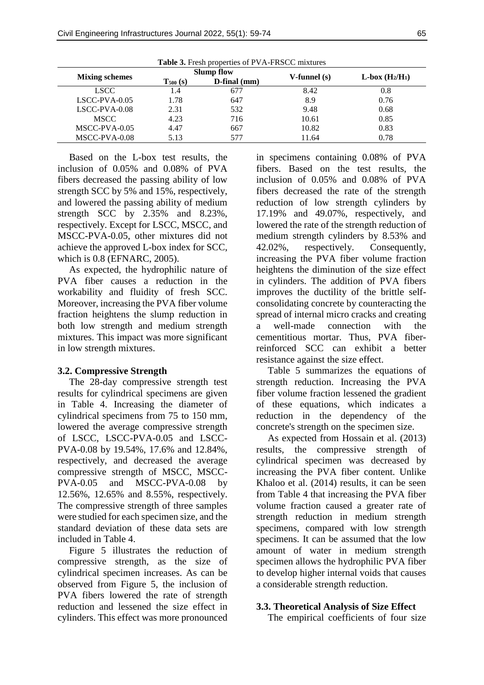| Table 3. Fresh properties of PVA-FRSCC mixtures |               |                   |                   |                 |  |
|-------------------------------------------------|---------------|-------------------|-------------------|-----------------|--|
|                                                 |               | <b>Slump flow</b> |                   |                 |  |
| <b>Mixing schemes</b>                           | $T_{500}$ (s) | $D$ -final $(mm)$ | $V$ -funnel $(s)$ | $L-box (H2/H1)$ |  |
| <b>LSCC</b>                                     | 1.4           | 677               | 8.42              | 0.8             |  |
| $LSCC-PVA-0.05$                                 | 1.78          | 647               | 8.9               | 0.76            |  |
| $LSCC-PVA-0.08$                                 | 2.31          | 532               | 9.48              | 0.68            |  |
| <b>MSCC</b>                                     | 4.23          | 716               | 10.61             | 0.85            |  |
| MSCC-PVA-0.05                                   | 4.47          | 667               | 10.82             | 0.83            |  |
| MSCC-PVA-0.08                                   | 5.13          | 577               | 11.64             | 0.78            |  |

Based on the L-box test results, the inclusion of 0.05% and 0.08% of PVA fibers decreased the passing ability of low strength SCC by 5% and 15%, respectively, and lowered the passing ability of medium strength SCC by 2.35% and 8.23%, respectively. Except for LSCC, MSCC, and MSCC-PVA-0.05, other mixtures did not achieve the approved L-box index for SCC, which is 0.8 (EFNARC, 2005).

As expected, the hydrophilic nature of PVA fiber causes a reduction in the workability and fluidity of fresh SCC. Moreover, increasing the PVA fiber volume fraction heightens the slump reduction in both low strength and medium strength mixtures. This impact was more significant in low strength mixtures.

### **3.2. Compressive Strength**

The 28-day compressive strength test results for cylindrical specimens are given in Table 4. Increasing the diameter of cylindrical specimens from 75 to 150 mm, lowered the average compressive strength of LSCC, LSCC-PVA-0.05 and LSCC-PVA-0.08 by 19.54%, 17.6% and 12.84%, respectively, and decreased the average compressive strength of MSCC, MSCC-PVA-0.05 and MSCC-PVA-0.08 by 12.56%, 12.65% and 8.55%, respectively. The compressive strength of three samples were studied for each specimen size, and the standard deviation of these data sets are included in Table 4.

Figure 5 illustrates the reduction of compressive strength, as the size of cylindrical specimen increases. As can be observed from Figure 5, the inclusion of PVA fibers lowered the rate of strength reduction and lessened the size effect in cylinders. This effect was more pronounced

in specimens containing 0.08% of PVA fibers. Based on the test results, the inclusion of 0.05% and 0.08% of PVA fibers decreased the rate of the strength reduction of low strength cylinders by 17.19% and 49.07%, respectively, and lowered the rate of the strength reduction of medium strength cylinders by 8.53% and 42.02%, respectively. Consequently, increasing the PVA fiber volume fraction heightens the diminution of the size effect in cylinders. The addition of PVA fibers improves the ductility of the brittle selfconsolidating concrete by counteracting the spread of internal micro cracks and creating a well-made connection with the cementitious mortar. Thus, PVA fiberreinforced SCC can exhibit a better resistance against the size effect.

Table 5 summarizes the equations of strength reduction. Increasing the PVA fiber volume fraction lessened the gradient of these equations, which indicates a reduction in the dependency of the concrete's strength on the specimen size.

As expected from Hossain et al. (2013) results, the compressive strength cylindrical specimen was decreased by increasing the PVA fiber content. Unlike Khaloo et al. (2014) results, it can be seen from Table 4 that increasing the PVA fiber volume fraction caused a greater rate of strength reduction in medium strength specimens, compared with low strength specimens. It can be assumed that the low amount of water in medium strength specimen allows the hydrophilic PVA fiber to develop higher internal voids that causes a considerable strength reduction.

## **3.3. Theoretical Analysis of Size Effect**

The empirical coefficients of four size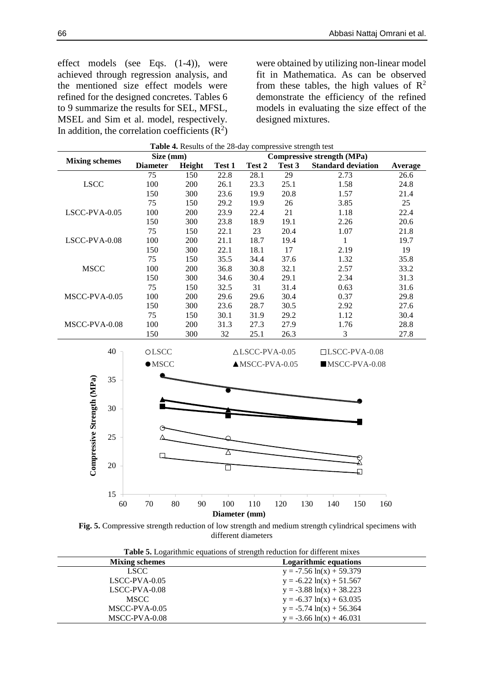effect models (see Eqs. (1-4)), were achieved through regression analysis, and the mentioned size effect models were refined for the designed concretes. Tables 6 to 9 summarize the results for SEL, MFSL, MSEL and Sim et al. model, respectively. In addition, the correlation coefficients  $(R^2)$  were obtained by utilizing non-linear model fit in Mathematica. As can be observed from these tables, the high values of  $\mathbb{R}^2$ demonstrate the efficiency of the refined models in evaluating the size effect of the designed mixtures.

| Table 4. Results of the 28-day compressive strength test |          |                                                |          |               |                           |        |                           |         |
|----------------------------------------------------------|----------|------------------------------------------------|----------|---------------|---------------------------|--------|---------------------------|---------|
| <b>Mixing schemes</b>                                    |          | <b>Compressive strength (MPa)</b><br>Size (mm) |          |               |                           |        |                           |         |
|                                                          |          | <b>Diameter</b>                                | Height   | Test 1        | Test 2                    | Test 3 | <b>Standard deviation</b> | Average |
|                                                          |          | 75                                             | 150      | 22.8          | 28.1                      | 29     | 2.73                      | 26.6    |
| <b>LSCC</b>                                              |          | 100                                            | 200      | 26.1          | 23.3                      | 25.1   | 1.58                      | 24.8    |
|                                                          |          | 150                                            | 300      | 23.6          | 19.9                      | 20.8   | 1.57                      | 21.4    |
|                                                          |          | 75                                             | 150      | 29.2          | 19.9                      | 26     | 3.85                      | 25      |
| LSCC-PVA-0.05                                            |          | 100                                            | 200      | 23.9          | 22.4                      | 21     | 1.18                      | 22.4    |
|                                                          |          | 150                                            | 300      | 23.8          | 18.9                      | 19.1   | 2.26                      | 20.6    |
|                                                          |          | 75                                             | 150      | 22.1          | 23                        | 20.4   | 1.07                      | 21.8    |
| LSCC-PVA-0.08                                            |          | 100                                            | 200      | 21.1          | 18.7                      | 19.4   | $\mathbf{1}$              | 19.7    |
|                                                          |          | 150                                            | 300      | 22.1          | 18.1                      | 17     | 2.19                      | 19      |
|                                                          |          | 75                                             | 150      | 35.5          | 34.4                      | 37.6   | 1.32                      | 35.8    |
| <b>MSCC</b>                                              |          | 100                                            | 200      | 36.8          | 30.8                      | 32.1   | 2.57                      | 33.2    |
|                                                          |          | 150                                            | 300      | 34.6          | 30.4                      | 29.1   | 2.34                      | 31.3    |
|                                                          |          | 75                                             | 150      | 32.5          | 31                        | 31.4   | 0.63                      | 31.6    |
| MSCC-PVA-0.05                                            |          | 100                                            | 200      | 29.6          | 29.6                      | 30.4   | 0.37                      | 29.8    |
|                                                          |          | 150                                            | 300      | 23.6          | 28.7                      | 30.5   | 2.92                      | 27.6    |
|                                                          |          | 75                                             | 150      | 30.1          | 31.9                      | 29.2   | 1.12                      | 30.4    |
| MSCC-PVA-0.08                                            |          | 100                                            | 200      | 31.3          | 27.3                      | 27.9   | 1.76                      | 28.8    |
|                                                          |          | 150                                            | 300      | 32            | 25.1                      | 26.3   | 3                         | 27.8    |
|                                                          | 40       | OLSCC                                          |          |               | $\triangle$ LSCC-PVA-0.05 |        | $LSCC-PVA-0.08$           |         |
|                                                          |          | $\bullet$ MSCC                                 |          |               | $\triangle$ MSCC-PVA-0.05 |        | $MSCC-PVA-0.08$           |         |
|                                                          |          |                                                |          |               |                           |        |                           |         |
|                                                          | 35       |                                                |          |               |                           |        |                           |         |
| Compressive Strength (MPa)                               |          |                                                |          |               |                           |        |                           |         |
|                                                          | 30       |                                                |          |               |                           |        |                           |         |
|                                                          |          |                                                |          |               |                           |        |                           |         |
|                                                          |          |                                                |          |               |                           |        |                           |         |
|                                                          | 25       |                                                |          |               |                           |        |                           |         |
|                                                          |          |                                                |          | Δ             |                           |        |                           |         |
|                                                          | 20       |                                                |          | П             |                           |        |                           |         |
|                                                          |          |                                                |          |               |                           |        | 口                         |         |
|                                                          |          |                                                |          |               |                           |        |                           |         |
|                                                          | 15<br>60 | 70                                             | 80<br>90 | 100           | 110                       | 120    | 130<br>140<br>150         | 160     |
|                                                          |          |                                                |          | Diameter (mm) |                           |        |                           |         |

**Fig. 5.** Compressive strength reduction of low strength and medium strength cylindrical specimens with different diameters

| <b>Table 5.</b> Logarithmic equations of strength reduction for different mixes |                              |  |  |  |
|---------------------------------------------------------------------------------|------------------------------|--|--|--|
| <b>Mixing schemes</b>                                                           | <b>Logarithmic equations</b> |  |  |  |
| <b>LSCC</b>                                                                     | $y = -7.56 \ln(x) + 59.379$  |  |  |  |
| $LSCC-PVA-0.05$                                                                 | $y = -6.22 \ln(x) + 51.567$  |  |  |  |
| $LSCC-PVA-0.08$                                                                 | $y = -3.88 \ln(x) + 38.223$  |  |  |  |
| <b>MSCC</b>                                                                     | $y = -6.37 \ln(x) + 63.035$  |  |  |  |
| MSCC-PVA-0.05                                                                   | $y = -5.74 \ln(x) + 56.364$  |  |  |  |
| MSCC-PVA-0.08                                                                   | $y = -3.66 \ln(x) + 46.031$  |  |  |  |

**Table 5.** Logarithmic equations of strength reduction for different mixes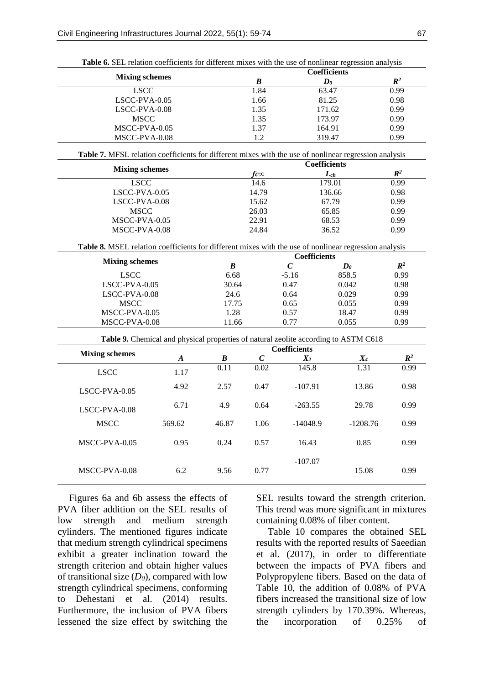|                                                                                                       |                  | <b>Table 6.</b> SEL relation coefficients for different mixes with the use of nonlinear regression analysis<br><b>Coefficients</b> |                  |                     |                                                                                     |                        |
|-------------------------------------------------------------------------------------------------------|------------------|------------------------------------------------------------------------------------------------------------------------------------|------------------|---------------------|-------------------------------------------------------------------------------------|------------------------|
| <b>Mixing schemes</b>                                                                                 |                  |                                                                                                                                    | $\boldsymbol{B}$ |                     | $\boldsymbol{D}$                                                                    |                        |
| <b>LSCC</b>                                                                                           |                  |                                                                                                                                    | 1.84             |                     | 63.47                                                                               | $\mathbb{R}^2$<br>0.99 |
| LSCC-PVA-0.05                                                                                         |                  |                                                                                                                                    | 1.66             |                     | 81.25                                                                               | 0.98                   |
| LSCC-PVA-0.08                                                                                         |                  |                                                                                                                                    | 1.35             |                     | 171.62                                                                              | 0.99                   |
| <b>MSCC</b>                                                                                           |                  |                                                                                                                                    | 1.35             |                     | 173.97                                                                              | 0.99                   |
| MSCC-PVA-0.05                                                                                         |                  |                                                                                                                                    | 1.37             | 164.91              |                                                                                     | 0.99                   |
| MSCC-PVA-0.08                                                                                         |                  |                                                                                                                                    | 1.2              |                     | 319.47                                                                              | 0.99                   |
| Table 7. MFSL relation coefficients for different mixes with the use of nonlinear regression analysis |                  |                                                                                                                                    |                  |                     |                                                                                     |                        |
| <b>Mixing schemes</b>                                                                                 |                  |                                                                                                                                    |                  | <b>Coefficients</b> |                                                                                     |                        |
|                                                                                                       |                  |                                                                                                                                    | $f \infty$       |                     | $L_{ch}$                                                                            | $I\!\!R^2$             |
| <b>LSCC</b>                                                                                           |                  |                                                                                                                                    | 14.6             |                     | 179.01                                                                              | 0.99                   |
| LSCC-PVA-0.05                                                                                         |                  |                                                                                                                                    | 14.79            |                     | 136.66                                                                              | 0.98                   |
| LSCC-PVA-0.08                                                                                         |                  |                                                                                                                                    | 15.62            |                     | 67.79                                                                               | 0.99                   |
| <b>MSCC</b>                                                                                           |                  |                                                                                                                                    | 26.03            |                     | 65.85                                                                               | 0.99                   |
| MSCC-PVA-0.05                                                                                         |                  |                                                                                                                                    | 22.91            |                     | 68.53                                                                               | 0.99                   |
| MSCC-PVA-0.08                                                                                         |                  |                                                                                                                                    | 24.84            |                     | 36.52                                                                               | 0.99                   |
| Table 8. MSEL relation coefficients for different mixes with the use of nonlinear regression analysis |                  |                                                                                                                                    |                  |                     |                                                                                     |                        |
| <b>Mixing schemes</b>                                                                                 |                  |                                                                                                                                    |                  | <b>Coefficients</b> |                                                                                     |                        |
| <b>LSCC</b>                                                                                           |                  | $\boldsymbol{B}$<br>6.68                                                                                                           |                  | $\boldsymbol{C}$    | $\boldsymbol{D}$ <sub>0</sub><br>858.5                                              | $\mathbb{R}^2$         |
|                                                                                                       |                  |                                                                                                                                    |                  | $-5.16$             |                                                                                     | 0.99                   |
| LSCC-PVA-0.05<br>LSCC-PVA-0.08                                                                        |                  | 30.64                                                                                                                              |                  | 0.47                | 0.042<br>0.029                                                                      | 0.98<br>0.99           |
|                                                                                                       |                  | 24.6<br>17.75                                                                                                                      |                  | 0.64                | 0.055                                                                               | 0.99                   |
| <b>MSCC</b><br>MSCC-PVA-0.05                                                                          |                  | 1.28                                                                                                                               |                  | 0.65<br>0.57        | 18.47                                                                               | 0.99                   |
| MSCC-PVA-0.08                                                                                         |                  | 11.66                                                                                                                              |                  | 0.77                | 0.055                                                                               | 0.99                   |
|                                                                                                       |                  |                                                                                                                                    |                  |                     |                                                                                     |                        |
|                                                                                                       |                  |                                                                                                                                    |                  |                     | Table 9. Chemical and physical properties of natural zeolite according to ASTM C618 |                        |
| <b>Mixing schemes</b>                                                                                 |                  |                                                                                                                                    |                  | <b>Coefficients</b> |                                                                                     |                        |
|                                                                                                       | $\boldsymbol{A}$ | $\boldsymbol{B}$                                                                                                                   | $\boldsymbol{C}$ | $X_2$               | $X_4$                                                                               | $\mathbb{R}^2$         |
| <b>LSCC</b>                                                                                           | 1.17             | $\overline{0.11}$                                                                                                                  | 0.02             | 145.8               | 1.31                                                                                | 0.99                   |
| LSCC-PVA-0.05                                                                                         | 4.92             | 2.57                                                                                                                               | 0.47             | $-107.91$           | 13.86                                                                               | 0.98                   |
| LSCC-PVA-0.08                                                                                         | 6.71             | 4.9                                                                                                                                | 0.64             | $-263.55$           | 29.78                                                                               | 0.99                   |
| <b>MSCC</b>                                                                                           | 569.62           | 46.87                                                                                                                              | 1.06             | $-14048.9$          | $-1208.76$                                                                          | 0.99                   |
| MSCC-PVA-0.05                                                                                         | 0.95             | 0.24                                                                                                                               | 0.57             | 16.43               | 0.85                                                                                | 0.99                   |
| MSCC-PVA-0.08                                                                                         | 6.2              | 9.56                                                                                                                               | 0.77             | $-107.07$           | 15.08                                                                               | 0.99                   |

**Table 6.** SEL relation coefficients for different mixes with the use of nonlinear regression analysis

Figures 6a and 6b assess the effects of PVA fiber addition on the SEL results of low strength and medium strength cylinders. The mentioned figures indicate that medium strength cylindrical specimens exhibit a greater inclination toward the strength criterion and obtain higher values of transitional size  $(D_0)$ , compared with low strength cylindrical specimens, conforming to Dehestani et al. (2014) results. Furthermore, the inclusion of PVA fibers lessened the size effect by switching the

SEL results toward the strength criterion. This trend was more significant in mixtures containing 0.08% of fiber content.

Table 10 compares the obtained SEL results with the reported results of Saeedian et al. (2017), in order to differentiate between the impacts of PVA fibers and Polypropylene fibers. Based on the data of Table 10, the addition of 0.08% of PVA fibers increased the transitional size of low strength cylinders by 170.39%. Whereas, the incorporation of 0.25% of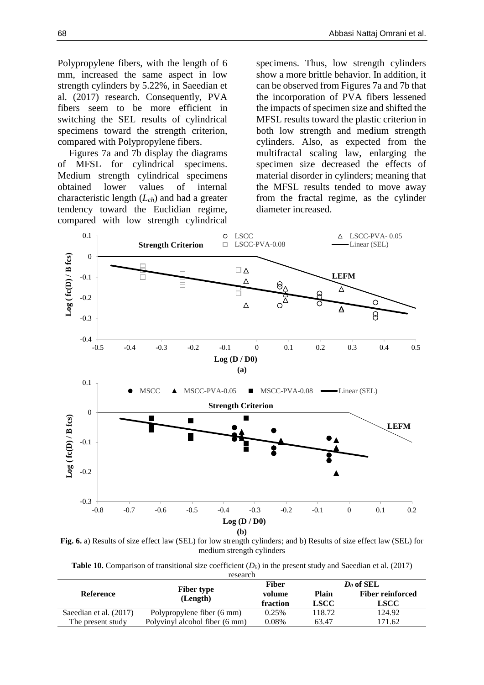Polypropylene fibers, with the length of 6 mm, increased the same aspect in low strength cylinders by 5.22%, in Saeedian et al. (2017) research. Consequently, PVA fibers seem to be more efficient in switching the SEL results of cylindrical specimens toward the strength criterion, compared with Polypropylene fibers.

Figures 7a and 7b display the diagrams of MFSL for cylindrical specimens. Medium strength cylindrical specimens obtained lower values of internal characteristic length (*Lch*) and had a greater tendency toward the Euclidian regime, compared with low strength cylindrical

specimens. Thus, low strength cylinders show a more brittle behavior. In addition, it can be observed from Figures 7a and 7b that the incorporation of PVA fibers lessened the impacts of specimen size and shifted the MFSL results toward the plastic criterion in both low strength and medium strength cylinders. Also, as expected from the multifractal scaling law, enlarging the specimen size decreased the effects of material disorder in cylinders; meaning that the MFSL results tended to move away from the fractal regime, as the cylinder diameter increased.



**Fig. 6.** a) Results of size effect law (SEL) for low strength cylinders; and b) Results of size effect law (SEL) for medium strength cylinders

**Table 10.** Comparison of transitional size coefficient  $(D_0)$  in the present study and Saeedian et al. (2017) research

|                        | $\cdots$                       |          |              |                         |
|------------------------|--------------------------------|----------|--------------|-------------------------|
|                        |                                | Fiber    |              | $D0$ of SEL             |
| Reference              | <b>Fiber type</b>              | volume   | <b>Plain</b> | <b>Fiber reinforced</b> |
|                        | (Length)                       | fraction | <b>LSCC</b>  | <b>LSCC</b>             |
| Saeedian et al. (2017) | Polypropylene fiber (6 mm)     | 0.25%    | 118.72       | 124.92                  |
| The present study      | Polyvinyl alcohol fiber (6 mm) | 0.08%    | 63.47        | 171.62                  |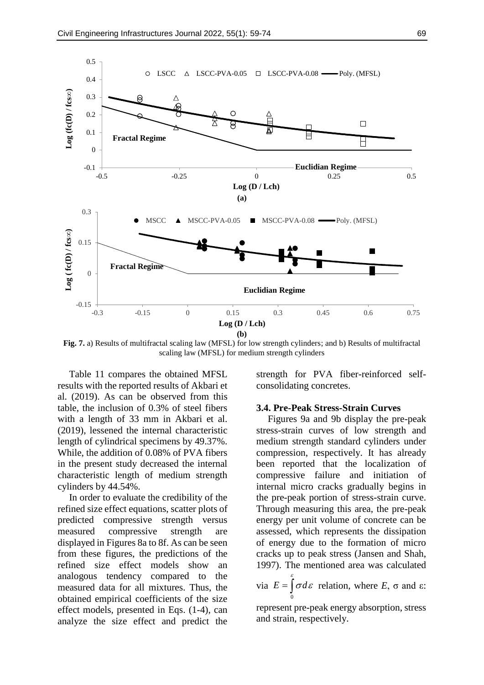

**Fig. 7.** a) Results of multifractal scaling law (MFSL) for low strength cylinders; and b) Results of multifractal scaling law (MFSL) for medium strength cylinders

Table 11 compares the obtained MFSL results with the reported results of Akbari et al. (2019). As can be observed from this table, the inclusion of 0.3% of steel fibers with a length of 33 mm in Akbari et al. (2019), lessened the internal characteristic length of cylindrical specimens by 49.37%. While, the addition of 0.08% of PVA fibers in the present study decreased the internal characteristic length of medium strength cylinders by 44.54%.

In order to evaluate the credibility of the refined size effect equations, scatter plots of predicted compressive strength versus measured compressive strength are displayed in Figures 8a to 8f. As can be seen from these figures, the predictions of the refined size effect models show an analogous tendency compared to the measured data for all mixtures. Thus, the obtained empirical coefficients of the size effect models, presented in Eqs. (1-4), can analyze the size effect and predict the strength for PVA fiber-reinforced selfconsolidating concretes.

### **3.4. Pre-Peak Stress-Strain Curves**

Figures 9a and 9b display the pre-peak stress-strain curves of low strength and medium strength standard cylinders under compression, respectively. It has already been reported that the localization of compressive failure and initiation of internal micro cracks gradually begins in the pre-peak portion of stress-strain curve. Through measuring this area, the pre-peak energy per unit volume of concrete can be assessed, which represents the dissipation of energy due to the formation of micro cracks up to peak stress (Jansen and Shah, 1997). The mentioned area was calculated via  $E = \int \sigma d\varepsilon$  relation, where  $E$ ,  $\sigma$  and  $\varepsilon$ : 0 £.

represent pre-peak energy absorption, stress and strain, respectively.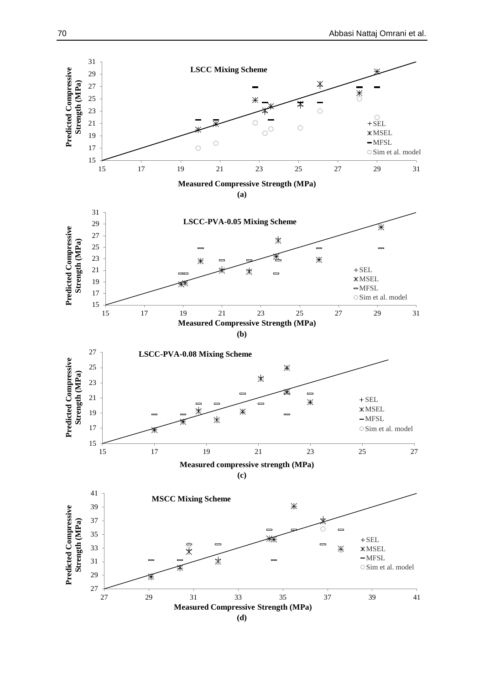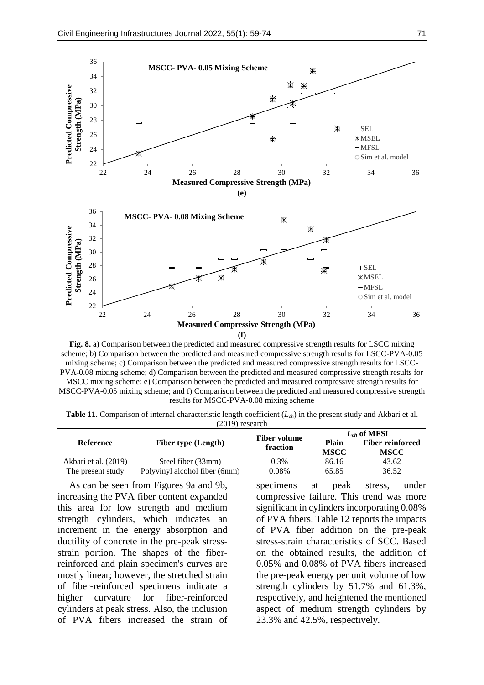

**Fig. 8.** a) Comparison between the predicted and measured compressive strength results for LSCC mixing scheme; b) Comparison between the predicted and measured compressive strength results for LSCC-PVA-0.05 mixing scheme; c) Comparison between the predicted and measured compressive strength results for LSCC-PVA-0.08 mixing scheme; d) Comparison between the predicted and measured compressive strength results for MSCC mixing scheme; e) Comparison between the predicted and measured compressive strength results for MSCC-PVA-0.05 mixing scheme; and f) Comparison between the predicted and measured compressive strength results for MSCC-PVA-0.08 mixing scheme

**Table 11.** Comparison of internal characteristic length coefficient (*Lch*) in the present study and Akbari et al. (2019) research

| Reference            |                               | <b>Fiber volume</b> | $L_{ch}$ of MFSL     |                                        |  |
|----------------------|-------------------------------|---------------------|----------------------|----------------------------------------|--|
|                      | <b>Fiber type (Length)</b>    | fraction            | Plain<br><b>MSCC</b> | <b>Fiber reinforced</b><br><b>MSCC</b> |  |
| Akbari et al. (2019) | Steel fiber (33mm)            | 0.3%                | 86.16                | 43.62                                  |  |
| The present study    | Polyvinyl alcohol fiber (6mm) | 0.08%               | 65.85                | 36.52                                  |  |

As can be seen from Figures 9a and 9b, increasing the PVA fiber content expanded this area for low strength and medium strength cylinders, which indicates an increment in the energy absorption and ductility of concrete in the pre-peak stressstrain portion. The shapes of the fiberreinforced and plain specimen's curves are mostly linear; however, the stretched strain of fiber-reinforced specimens indicate a higher curvature for fiber-reinforced cylinders at peak stress. Also, the inclusion of PVA fibers increased the strain of specimens at peak stress, under compressive failure. This trend was more significant in cylinders incorporating 0.08% of PVA fibers. Table 12 reports the impacts of PVA fiber addition on the pre-peak stress-strain characteristics of SCC. Based on the obtained results, the addition of 0.05% and 0.08% of PVA fibers increased the pre-peak energy per unit volume of low strength cylinders by 51.7% and 61.3%, respectively, and heightened the mentioned aspect of medium strength cylinders by 23.3% and 42.5%, respectively.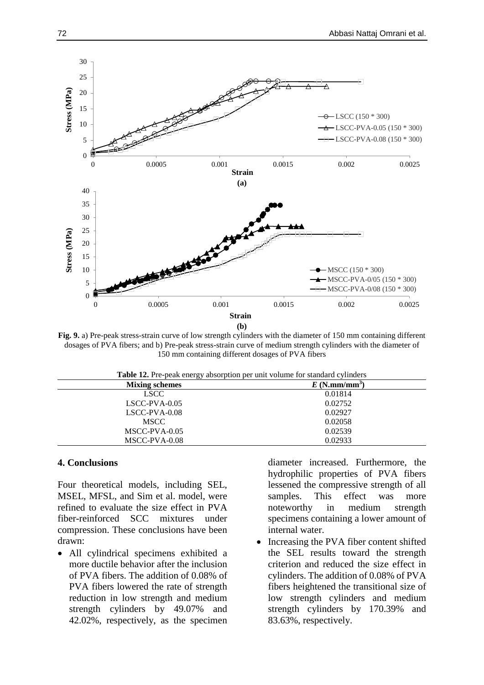

**Fig. 9.** a) Pre-peak stress-strain curve of low strength cylinders with the diameter of 150 mm containing different dosages of PVA fibers; and b) Pre-peak stress-strain curve of medium strength cylinders with the diameter of 150 mm containing different dosages of PVA fibers

**Table 12.** Pre-peak energy absorption per unit volume for standard cylinders

| <b>Mixing schemes</b> | $E(N.mm/mm^3)$ |
|-----------------------|----------------|
| <b>LSCC</b>           | 0.01814        |
| $LSCC-PVA-0.05$       | 0.02752        |
| $LSCC-PVA-0.08$       | 0.02927        |
| <b>MSCC</b>           | 0.02058        |
| MSCC-PVA-0.05         | 0.02539        |
| MSCC-PVA-0.08         | 0.02933        |

# **4. Conclusions**

Four theoretical models, including SEL, MSEL, MFSL, and Sim et al. model, were refined to evaluate the size effect in PVA fiber-reinforced SCC mixtures under compression. These conclusions have been drawn:

 All cylindrical specimens exhibited a more ductile behavior after the inclusion of PVA fibers. The addition of 0.08% of PVA fibers lowered the rate of strength reduction in low strength and medium strength cylinders by 49.07% and 42.02%, respectively, as the specimen

diameter increased. Furthermore, the hydrophilic properties of PVA fibers lessened the compressive strength of all samples. This effect was more noteworthy in medium strength specimens containing a lower amount of internal water.

 Increasing the PVA fiber content shifted the SEL results toward the strength criterion and reduced the size effect in cylinders. The addition of 0.08% of PVA fibers heightened the transitional size of low strength cylinders and medium strength cylinders by 170.39% and 83.63%, respectively.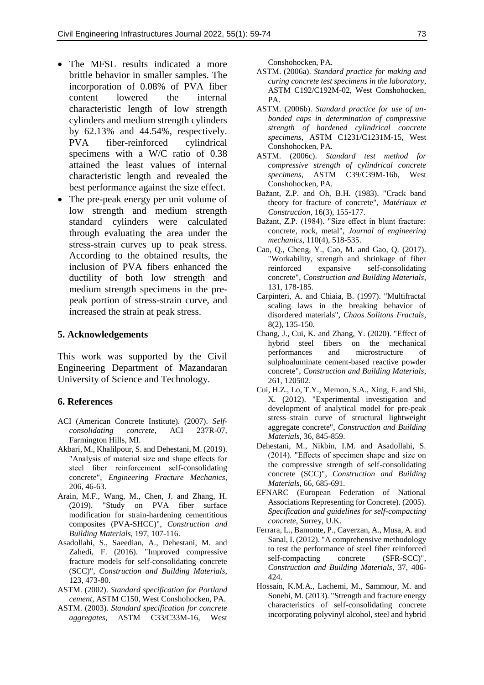- The MFSL results indicated a more brittle behavior in smaller samples. The incorporation of 0.08% of PVA fiber content lowered the internal characteristic length of low strength cylinders and medium strength cylinders by 62.13% and 44.54%, respectively. PVA fiber-reinforced cylindrical specimens with a W/C ratio of 0.38 attained the least values of internal characteristic length and revealed the best performance against the size effect.
- The pre-peak energy per unit volume of low strength and medium strength standard cylinders were calculated through evaluating the area under the stress-strain curves up to peak stress. According to the obtained results, the inclusion of PVA fibers enhanced the ductility of both low strength and medium strength specimens in the prepeak portion of stress-strain curve, and increased the strain at peak stress.

## **5. Acknowledgements**

This work was supported by the Civil Engineering Department of Mazandaran University of Science and Technology.

#### **6. References**

- ACI (American Concrete Institute). (2007). *Selfconsolidating concrete*, ACI 237R-07, Farmington Hills, MI.
- Akbari, M., Khalilpour, S. and Dehestani, M. (2019). "Analysis of material size and shape effects for steel fiber reinforcement self-consolidating concrete", *Engineering Fracture Mechanics*, 206, 46-63.
- Arain, M.F., Wang, M., Chen, J. and Zhang, H. (2019). "Study on PVA fiber surface modification for strain-hardening cementitious composites (PVA-SHCC)", *Construction and Building Materials*, 197, 107-116.
- Asadollahi, S., Saeedian, A., Dehestani, M. and Zahedi, F. (2016). "Improved compressive fracture models for self-consolidating concrete (SCC)", *Construction and Building Materials*, 123, 473-80.
- ASTM. (2002). *Standard specification for Portland cement*, ASTM C150, West Conshohocken, PA.
- ASTM. (2003). *Standard specification for concrete aggregates*, ASTM C33/C33M-16, West

Conshohocken, PA.

- ASTM. (2006a). *Standard practice for making and curing concrete test specimens in the laboratory*, ASTM C192/C192M-02, West Conshohocken, PA.
- ASTM. (2006b). *Standard practice for use of unbonded caps in determination of compressive strength of hardened cylindrical concrete specimens*, ASTM C1231/C1231M-15, West Conshohocken, PA.
- ASTM. (2006c). *Standard test method for compressive strength of cylindrical concrete specimens*, ASTM C39/C39M-16b, West Conshohocken, PA.
- Bažant, Z.P. and Oh, B.H. (1983). "Crack band theory for fracture of concrete", *Matériaux et Construction*, 16(3), 155-177.
- Bažant, Z.P. (1984). "Size effect in blunt fracture: concrete, rock, metal", *Journal of engineering mechanics*, 110(4), 518-535.
- Cao, Q., Cheng, Y., Cao, M. and Gao, Q. (2017). "Workability, strength and shrinkage of fiber reinforced expansive self-consolidating concrete", *Construction and Building Materials*, 131, 178-185.
- Carpinteri, A. and Chiaia, B. (1997). "Multifractal scaling laws in the breaking behavior of disordered materials", *Chaos Solitons Fractals*, 8(2), 135-150.
- Chang, J., Cui, K. and Zhang, Y. (2020). "Effect of hybrid steel fibers on the mechanical performances and microstructure of sulphoaluminate cement-based reactive powder concrete", *Construction and Building Materials*, 261, 120502.
- Cui, H.Z., Lo, T.Y., Memon, S.A., Xing, F. and Shi, X. (2012). "Experimental investigation and development of analytical model for pre-peak stress–strain curve of structural lightweight aggregate concrete", *Construction and Building Materials*, 36, 845-859.
- Dehestani, M., Nikbin, I.M. and Asadollahi, S. (2014). "Effects of specimen shape and size on the compressive strength of self-consolidating concrete (SCC)", *Construction and Building Materials*, 66, 685-691.
- EFNARC (European Federation of National Associations Representing for Concrete). (2005). *Specification and guidelines for self-compacting concrete*, Surrey, U.K.
- Ferrara, L., Bamonte, P., Caverzan, A., Musa, A. and Sanal, I. (2012). "A comprehensive methodology to test the performance of steel fiber reinforced self-compacting concrete (SFR-SCC)", *Construction and Building Materials*, 37, 406- 424.
- Hossain, K.M.A., Lachemi, M., Sammour, M. and Sonebi, M. (2013). "Strength and fracture energy characteristics of self-consolidating concrete incorporating polyvinyl alcohol, steel and hybrid